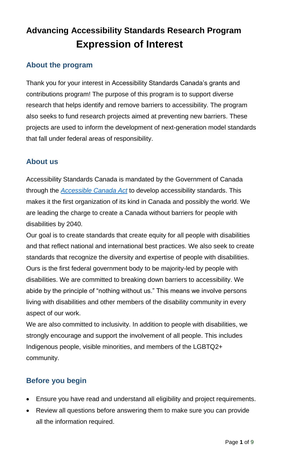# **Advancing Accessibility Standards Research Program Expression of Interest**

# **About the program**

Thank you for your interest in Accessibility Standards Canada's grants and contributions program! The purpose of this program is to support diverse research that helps identify and remove barriers to accessibility. The program also seeks to fund research projects aimed at preventing new barriers. These projects are used to inform the development of next-generation model standards that fall under federal areas of responsibility.

### **About us**

Accessibility Standards Canada is mandated by the Government of Canada through the *[Accessible Canada Act](https://laws.justice.gc.ca/eng/acts/A-0.6/page-1.html)* to develop accessibility standards. This makes it the first organization of its kind in Canada and possibly the world. We are leading the charge to create a Canada without barriers for people with disabilities by 2040.

Our goal is to create standards that create equity for all people with disabilities and that reflect national and international best practices. We also seek to create standards that recognize the diversity and expertise of people with disabilities. Ours is the first federal government body to be majority-led by people with disabilities. We are committed to breaking down barriers to accessibility. We abide by the principle of "nothing without us." This means we involve persons living with disabilities and other members of the disability community in every aspect of our work.

We are also committed to inclusivity. In addition to people with disabilities, we strongly encourage and support the involvement of all people. This includes Indigenous people, visible minorities, and members of the LGBTQ2+ community.

## **Before you begin**

- Ensure you have read and understand all eligibility and project requirements.
- Review all questions before answering them to make sure you can provide all the information required.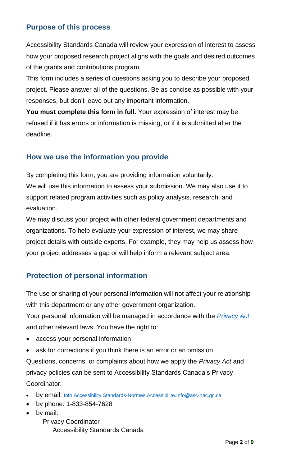### **Purpose of this process**

Accessibility Standards Canada will review your expression of interest to assess how your proposed research project aligns with the goals and desired outcomes of the grants and contributions program.

This form includes a series of questions asking you to describe your proposed project. Please answer all of the questions. Be as concise as possible with your responses, but don't leave out any important information.

**You must complete this form in full.** Your expression of interest may be refused if it has errors or information is missing, or if it is submitted after the deadline.

#### **How we use the information you provide**

By completing this form, you are providing information voluntarily. We will use this information to assess your submission. We may also use it to support related program activities such as policy analysis, research, and evaluation.

We may discuss your project with other federal government departments and organizations. To help evaluate your expression of interest, we may share project details with outside experts. For example, they may help us assess how your project addresses a gap or will help inform a relevant subject area.

## **Protection of personal information**

The use or sharing of your personal information will not affect your relationship with this department or any other government organization.

Your personal information will be managed in accordance with the *[Privacy](https://laws-lois.justice.gc.ca/eng/acts/p-21/FullText.html) Act* and other relevant laws. You have the right to:

- access your personal information
- ask for corrections if you think there is an error or an omission

Questions, concerns, or complaints about how we apply the *Privacy Act* and privacy policies can be sent to Accessibility Standards Canada's Privacy Coordinator:

- by email: [Info.Accessibility.Standards-Normes.Accessibilite.Info@asc-nac.gc.ca](mailto:Info.Accessibility.Standards-Normes.Accessibilite.Info@asc-nac.gc.ca)
- by phone: 1-833-854-7628
- by mail:

Privacy Coordinator Accessibility Standards Canada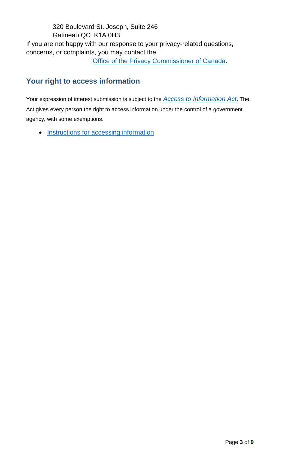### 320 Boulevard St. Joseph, Suite 246 Gatineau QC K1A 0H3 If you are not happy with our response to your privacy-related questions, concerns, or complaints, you may contact the

[Office of the Privacy Commissioner of Canada.](https://www.priv.gc.ca/en/report-a-concern/)

# **Your right to access information**

Your expression of interest submission is subject to the *Access to [Information Act](https://laws-lois.justice.gc.ca/eng/acts/a-1/page-1.html)*. The Act gives every person the right to access information under the control of a government agency, with some exemptions.

• [Instructions for accessing information](https://www.canada.ca/en/treasury-board-secretariat/services/access-information-privacy/access-information/information-about-programs-information-holdings/standard-personal-information-banks.html)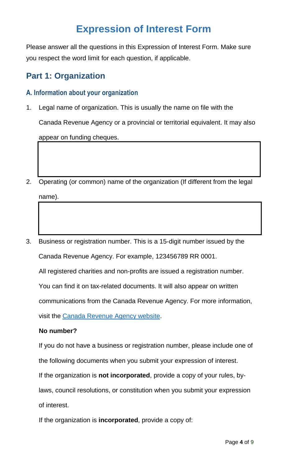# **Expression of Interest Form**

Please answer all the questions in this Expression of Interest Form. Make sure you respect the word limit for each question, if applicable.

# **Part 1: Organization**

#### **A. Information about your organization**

- 1. Legal name of organization. This is usually the name on file with the Canada Revenue Agency or a provincial or territorial equivalent. It may also appear on funding cheques.
- 2. Operating (or common) name of the organization (If different from the legal name).
- 3. Business or registration number. This is a 15-digit number issued by the Canada Revenue Agency. For example, 123456789 RR 0001.

All registered charities and non-profits are issued a registration number.

You can find it on tax-related documents. It will also appear on written

communications from the Canada Revenue Agency. For more information,

visit the [Canada Revenue Agency website.](http://www.cra-arc.gc.ca/menu-eng.html)

#### **No number?**

If you do not have a business or registration number, please include one of the following documents when you submit your expression of interest.

If the organization is **not incorporated**, provide a copy of your rules, by-

laws, council resolutions, or constitution when you submit your expression of interest.

If the organization is **incorporated**, provide a copy of: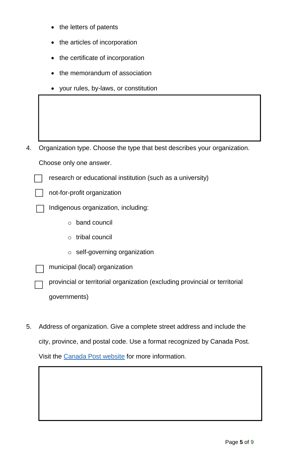- the letters of patents
- the articles of incorporation
- the certificate of incorporation
- the memorandum of association
- your rules, by-laws, or constitution

4. Organization type. Choose the type that best describes your organization.

research or educational institution (such as a university)

Choose only one answer.



not-for-profit organization

Indigenous organization, including:

- o band council
- o tribal council
- o self-governing organization
- municipal (local) organization

provincial or territorial organization (excluding provincial or territorial governments)

5. Address of organization. Give a complete street address and include the city, province, and postal code. Use a format recognized by Canada Post. Visit the [Canada Post website](https://www.canadapost.ca/web/en/home.page) for more information.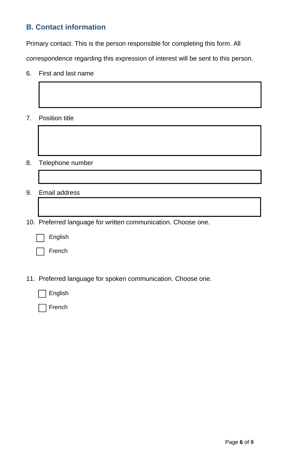### **B. Contact information**

Primary contact. This is the person responsible for completing this form. All

correspondence regarding this expression of interest will be sent to this person.

- 6. First and last name
- 7. Position title
- 8. Telephone number
- 9. Email address
- 10. Preferred language for written communication. Choose one.
	- English

French

11. Preferred language for spoken communication. Choose one.

English

French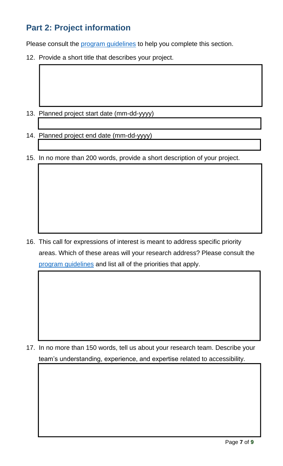# **Part 2: Project information**

Please consult the [program guidelines](https://accessible.canada.ca/advancing-accessibility-standards-research/funding) to help you complete this section.

12. Provide a short title that describes your project.

- 13. Planned project start date (mm-dd-yyyy)
- 14. Planned project end date (mm-dd-yyyy)
- 15. In no more than 200 words, provide a short description of your project.

16. This call for expressions of interest is meant to address specific priority areas. Which of these areas will your research address? Please consult the [program guidelines](https://accessible.canada.ca/advancing-accessibility-standards-research/funding) and list all of the priorities that apply.

17. In no more than 150 words, tell us about your research team. Describe your team's understanding, experience, and expertise related to accessibility.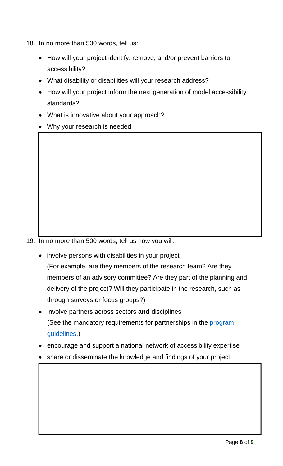- 18. In no more than 500 words, tell us:
	- How will your project identify, remove, and/or prevent barriers to accessibility?
	- What disability or disabilities will your research address?
	- How will your project inform the next generation of model accessibility standards?
	- What is innovative about your approach?
	- Why your research is needed

19. In no more than 500 words, tell us how you will:

- involve persons with disabilities in your project (For example, are they members of the research team? Are they members of an advisory committee? Are they part of the planning and delivery of the project? Will they participate in the research, such as through surveys or focus groups?)
- involve partners across sectors **and** disciplines (See the mandatory requirements for partnerships in the [program](https://accessible.canada.ca/advancing-accessibility-standards-research/funding)  [guidelines.](https://accessible.canada.ca/advancing-accessibility-standards-research/funding))
- encourage and support a national network of accessibility expertise
- share or disseminate the knowledge and findings of your project